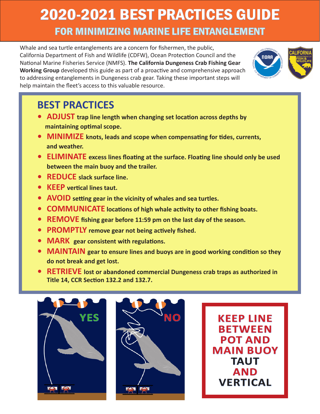## 2020-2021 BEST PRACTICES GUIDE FOR MINIMIZING MARINE LIFE ENTANGLEMENT

Whale and sea turtle entanglements are a concern for fishermen, the public, California Department of Fish and Wildlife (CDFW), Ocean Protection Council and the National Marine Fisheries Service (NMFS). **The California Dungeness Crab Fishing Gear Working Group** developed this guide as part of a proactive and comprehensive approach to addressing entanglements in Dungeness crab gear. Taking these important steps will help maintain the fleet's access to this valuable resource.



## **BEST PRACTICES**

- **• ADJUST trap line length when changing set location across depths by maintaining optimal scope.**
- **• MINIMIZE knots, leads and scope when compensating for tides, currents, and weather.**
- **• ELIMINATE excess lines floating at the surface. Floating line should only be used between the main buoy and the trailer.**
- **• REDUCE slack surface line.**
- **• KEEP vertical lines taut.**
- **• AVOID setting gear in the vicinity of whales and sea turtles.**
- **• COMMUNICATE locations of high whale activity to other fishing boats.**
- **• REMOVE fishing gear before 11:59 pm on the last day of the season.**
- **• PROMPTLY remove gear not being actively fished.**
- **• MARK gear consistent with regulations.**
- **• MAINTAIN gear to ensure lines and buoys are in good working condition so they do not break and get lost.**
- **• RETRIEVE lost or abandoned commercial Dungeness crab traps as authorized in Title 14, CCR Section 132.2 and 132.7.**